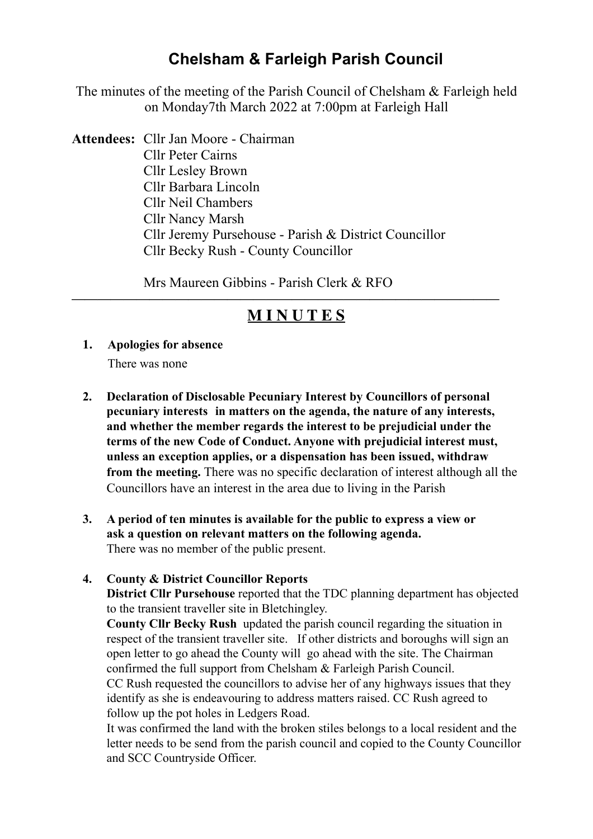# **Chelsham & Farleigh Parish Council**

The minutes of the meeting of the Parish Council of Chelsham & Farleigh held on Monday7th March 2022 at 7:00pm at Farleigh Hall

**Attendees:** Cllr Jan Moore - Chairman Cllr Peter Cairns Cllr Lesley Brown Cllr Barbara Lincoln Cllr Neil Chambers Cllr Nancy Marsh Cllr Jeremy Pursehouse - Parish & District Councillor Cllr Becky Rush - County Councillor

Mrs Maureen Gibbins - Parish Clerk & RFO

# **————————————————————————————————— M I N U T E S**

- **1. Apologies for absence**  There was none
- **2. Declaration of Disclosable Pecuniary Interest by Councillors of personal pecuniary interests in matters on the agenda, the nature of any interests, and whether the member regards the interest to be prejudicial under the terms of the new Code of Conduct. Anyone with prejudicial interest must, unless an exception applies, or a dispensation has been issued, withdraw from the meeting.** There was no specific declaration of interest although all the Councillors have an interest in the area due to living in the Parish
- **3. A period of ten minutes is available for the public to express a view or ask a question on relevant matters on the following agenda.**  There was no member of the public present.

## **4. County & District Councillor Reports**

 **District Cllr Pursehouse** reported that the TDC planning department has objected to the transient traveller site in Bletchingley.

**County Cllr Becky Rush** updated the parish council regarding the situation in respect of the transient traveller site. If other districts and boroughs will sign an open letter to go ahead the County will go ahead with the site. The Chairman confirmed the full support from Chelsham & Farleigh Parish Council.

 CC Rush requested the councillors to advise her of any highways issues that they identify as she is endeavouring to address matters raised. CC Rush agreed to follow up the pot holes in Ledgers Road.

 It was confirmed the land with the broken stiles belongs to a local resident and the letter needs to be send from the parish council and copied to the County Councillor and SCC Countryside Officer.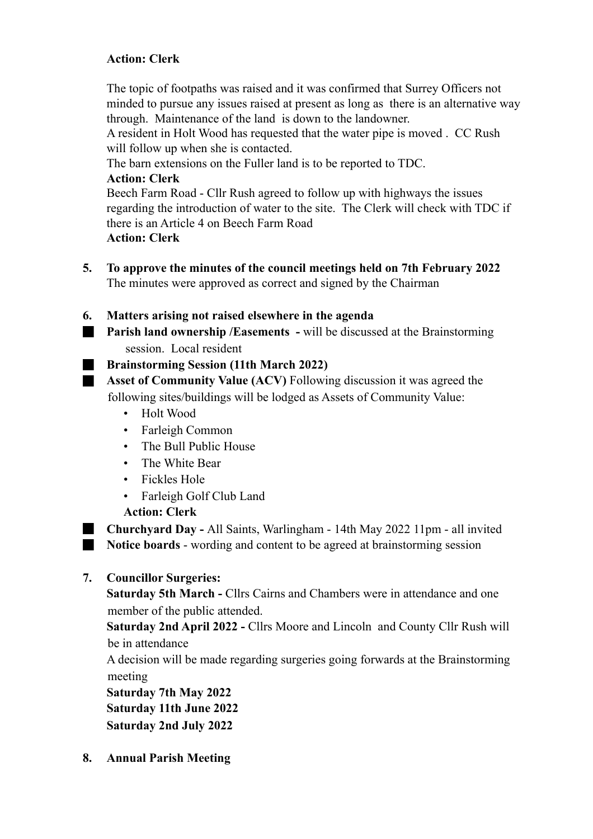# **Action: Clerk**

The topic of footpaths was raised and it was confirmed that Surrey Officers not minded to pursue any issues raised at present as long as there is an alternative way through. Maintenance of the land is down to the landowner.

 A resident in Holt Wood has requested that the water pipe is moved . CC Rush will follow up when she is contacted.

The barn extensions on the Fuller land is to be reported to TDC.

#### **Action: Clerk**

 Beech Farm Road - Cllr Rush agreed to follow up with highways the issues regarding the introduction of water to the site. The Clerk will check with TDC if there is an Article 4 on Beech Farm Road **Action: Clerk**

- **5. To approve the minutes of the council meetings held on 7th February 2022**  The minutes were approved as correct and signed by the Chairman
- **6. Matters arising not raised elsewhere in the agenda**
- **Parish land ownership /Easements will be discussed at the Brainstorming** session. Local resident

## **Brainstorming Session (11th March 2022)**

**Asset of Community Value (ACV)** Following discussion it was agreed the following sites/buildings will be lodged as Assets of Community Value:

- Holt Wood
- Farleigh Common
- The Bull Public House
- The White Bear
- Fickles Hole
- Farleigh Golf Club Land

## **Action: Clerk**

**Churchyard Day - All Saints, Warlingham - 14th May 2022 11pm - all invited Notice boards** - wording and content to be agreed at brainstorming session

**7. Councillor Surgeries:** 

**Saturday 5th March - Cllrs Cairns and Chambers were in attendance and one** member of the public attended.

 **Saturday 2nd April 2022 -** Cllrs Moore and Lincoln and County Cllr Rush will be in attendance

A decision will be made regarding surgeries going forwards at the Brainstorming meeting

 **Saturday 7th May 2022 Saturday 11th June 2022 Saturday 2nd July 2022** 

**8. Annual Parish Meeting**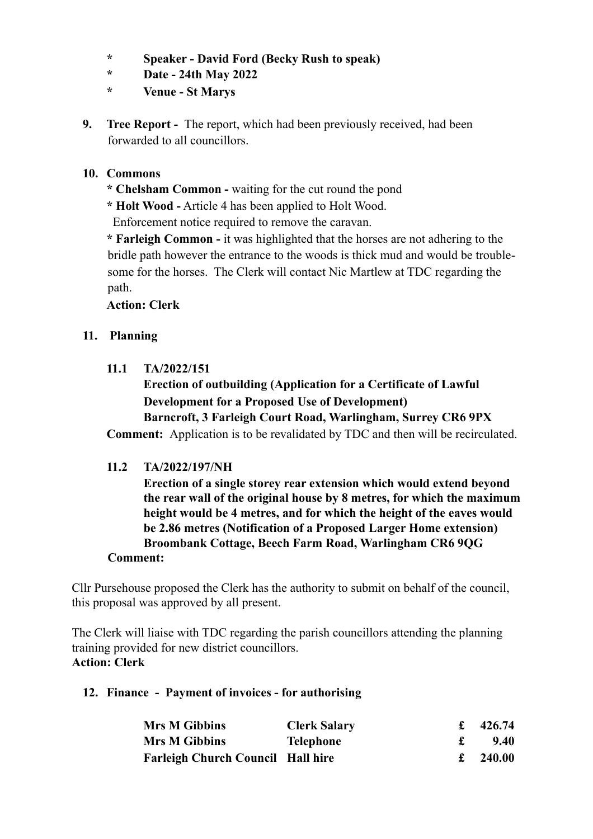- **\* Speaker David Ford (Becky Rush to speak)**
- **\* Date 24th May 2022**
- **\* Venue St Marys**
- **9. Tree Report** The report, which had been previously received, had been forwarded to all councillors.

## **10. Commons**

- **\* Chelsham Common** waiting for the cut round the pond
- **\* Holt Wood -** Article 4 has been applied to Holt Wood.

Enforcement notice required to remove the caravan.

 **\* Farleigh Common -** it was highlighted that the horses are not adhering to the bridle path however the entrance to the woods is thick mud and would be troublesome for the horses. The Clerk will contact Nic Martlew at TDC regarding the path.

# **Action: Clerk**

# **11. Planning**

 **11.1 TA/2022/151** 

# **Erection of outbuilding (Application for a Certificate of Lawful Development for a Proposed Use of Development)**

# **Barncroft, 3 Farleigh Court Road, Warlingham, Surrey CR6 9PX**

 **Comment:** Application is to be revalidated by TDC and then will be recirculated.

## **11.2 TA/2022/197/NH**

 **Erection of a single storey rear extension which would extend beyond the rear wall of the original house by 8 metres, for which the maximum height would be 4 metres, and for which the height of the eaves would be 2.86 metres (Notification of a Proposed Larger Home extension) Broombank Cottage, Beech Farm Road, Warlingham CR6 9QG** 

#### **Comment:**

Cllr Pursehouse proposed the Clerk has the authority to submit on behalf of the council, this proposal was approved by all present.

The Clerk will liaise with TDC regarding the parish councillors attending the planning training provided for new district councillors. **Action: Clerk** 

## **12. Finance - Payment of invoices - for authorising**

| <b>Mrs M Gibbins</b>                     | <b>Clerk Salary</b> | 426.74 |
|------------------------------------------|---------------------|--------|
| <b>Mrs M Gibbins</b>                     | Telephone           | 9.40   |
| <b>Farleigh Church Council Hall hire</b> |                     | 240.00 |